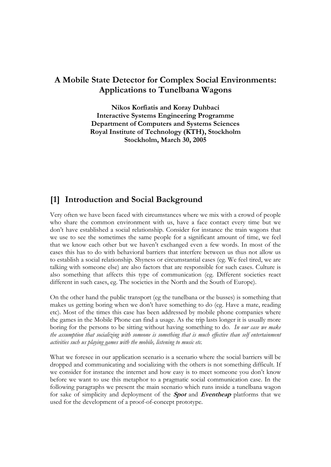# **A Mobile State Detector for Complex Social Environments: Applications to Tunelbana Wagons**

**Nikos Korfiatis and Koray Duhbaci Interactive Systems Engineering Programme Department of Computers and Systems Sciences Royal Institute of Technology (KTH), Stockholm Stockholm, March 30, 2005** 

## **[1] Introduction and Social Background**

Very often we have been faced with circumstances where we mix with a crowd of people who share the common environment with us, have a face contact every time but we don't have established a social relationship. Consider for instance the train wagons that we use to see the sometimes the same people for a significant amount of time, we feel that we know each other but we haven't exchanged even a few words. In most of the cases this has to do with behavioral barriers that interfere between us thus not allow us to establish a social relationship. Shyness or circumstantial cases (eg. We feel tired, we are talking with someone else) are also factors that are responsible for such cases. Culture is also something that affects this type of communication (eg. Different societies react different in such cases, eg. The societies in the North and the South of Europe).

On the other hand the public transport (eg the tunelbana or the busses) is something that makes us getting boring when we don't have something to do (eg. Have a mate, reading etc). Most of the times this case has been addressed by mobile phone companies where the games in the Mobile Phone can find a usage. As the trip lasts longer it is usually more boring for the persons to be sitting without having something to do. *In our case we make the assumption that socializing with someone is something that is much effective than self entertainment activities such us playing games with the mobile, listening to music etc.*

What we foresee in our application scenario is a scenario where the social barriers will be dropped and communicating and socializing with the others is not something difficult. If we consider for instance the internet and how easy is to meet someone you don't know before we want to use this metaphor to a pragmatic social communication case. In the following paragraphs we present the main scenario which runs inside a tunelbana wagon for sake of simplicity and deployment of the **Spot** and **Eventheap** platforms that we used for the development of a proof-of-concept prototype.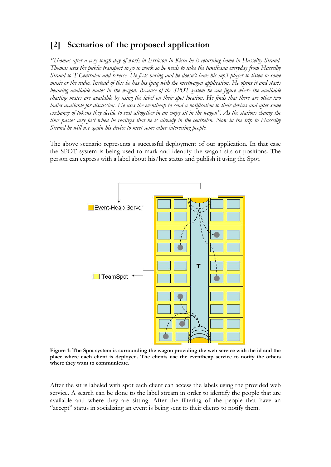## **[2] Scenarios of the proposed application**

*"Thomas after a very tough day of work in Erricson in Kista he is returning home in Hasselby Strand. Thomas uses the public transport to go to work so he needs to take the tunelbana everyday from Hasselby Strand to T-Centralen and reverse. He feels boring and he doesn't have his mp3 player to listen to some music or the radio. Instead of this he has his ipaq with the meetwagon application. He opens it and starts beaming available mates in the wagon. Because of the SPOT system he can figure where the available chatting mates are available by using the label on their spot location. He finds that there are other two ladies available for discussion. He uses the eventheap to send a notification to their devices and after some exchange of tokens they decide to seat altogether in an empy sit in the wagon". As the stations change the time passes very fast when he realizes that he is already in the centralen. Now in the trip to Hasselby Strand he will use again his device to meet some other interesting people.* 

The above scenario represents a successful deployment of our application. In that case the SPOT system is being used to mark and identify the wagon sits or positions. The person can express with a label about his/her status and publish it using the Spot.



**Figure 1: The Spot system is surrounding the wagon providing the web service with the id and the place where each client is deployed. The clients use the eventheap service to notify the others where they want to communicate.** 

After the sit is labeled with spot each client can access the labels using the provided web service. A search can be done to the label stream in order to identify the people that are available and where they are sitting. After the filtering of the people that have an "accept" status in socializing an event is being sent to their clients to notify them.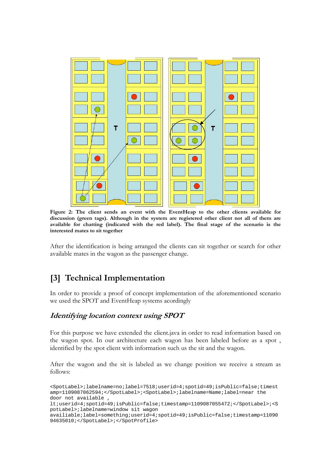

**Figure 2: The client sends an event with the EventHeap to the other clients available for discussion (green tags). Although in the system are registered other client not all of them are available for chatting (indicated with the red label). The final stage of the scenario is the interested mates to sit together** 

After the identification is being arranged the clients can sit together or search for other available mates in the wagon as the passenger change.

# **[3] Technical Implementation**

In order to provide a proof of concept implementation of the aforementioned scenario we used the SPOT and EventHeap systems acordingly

#### **Identifying location context using SPOT**

For this purpose we have extended the client.java in order to read information based on the wagon spot. In our architecture each wagon has been labeled before as a spot , identified by the spot client with information such us the sit and the wagon.

After the wagon and the sit is labeled as we change position we receive a stream as follows:

```
<SpotLabel>;labelname=no;label=7518;userid=4;spotid=49;isPublic=false;timest
amp=1109087062594;</SpotLabel>;<SpotLabel>;labelname=Name;label=near the
door not available
lt;userid=4;spotid=49;isPublic=false;timestamp=1109087055472;</SpotLabel>;<S
potLabel>;labelname=window sit wagon 
availiable;label=something;userid=4;spotid=49;isPublic=false;timestamp=11090
94635010;</SpotLabel>;</SpotProfile>
```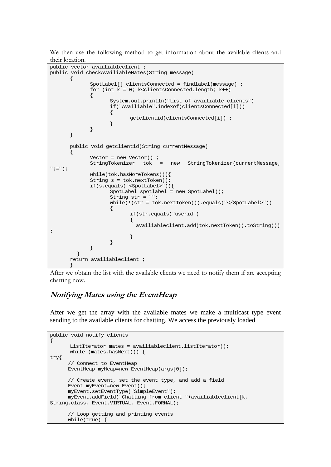We then use the following method to get information about the available clients and their location.

```
public vector availiableclient ; 
public void checkAvailiableMates(String message) 
\{ SpotLabel[] clientsConnected = findlabel(message) ; 
           for (int k = 0; k<clientsConnected.length; k++)
\{ System.out.println("List of availiable clients") 
                 if("Availiable".indexof(clientsConnected[i])) 
\{getclientid(clientsConnected[i]) ;<br>}
 } 
 } 
      } 
      public void getclientid(String currentMessage) 
\{Vector = new Vector() i StringTokenizer tok = new StringTokenizer(currentMessage, 
"; = ");
            while(tok.hasMoreTokens()){ 
            String s = tok.nextToken(); 
            if(s.equals("<SpotLabel>")){ 
                SpotLabel spotlabel = new SpotLabel();
                 String str = ""; 
                 while(!(str = tok.nextToken()).equals("</SpotLabel>")) 
\{ if(str.equals("userid") 
 { 
                         availiableclient.add(tok.nextToken().toString()) 
; 
 } 
 } 
 } 
 } 
      return availiableclient ; 
 }
```
After we obtain the list with the available clients we need to notify them if are accepting chatting now.

### **Notifying Mates using the EventHeap**

After we get the array with the available mates we make a multicast type event sending to the available clients for chatting. We access the previously loaded

```
public void notify clients 
{ 
        ListIterator mates = availiableclient.listIterator(); 
       while (mates.hasNext()) { 
try{ 
       // Connect to EventHeap 
      EventHeap myHeap=new EventHeap(args[0]);
       // Create event, set the event type, and add a field 
      Event myEvent=new Event();
       myEvent.setEventType("SimpleEvent"); 
       myEvent.addField("Chatting from client "+availiableclient[k, 
String.class, Event.VIRTUAL, Event.FORMAL); 
       // Loop getting and printing events 
       while(true) {
```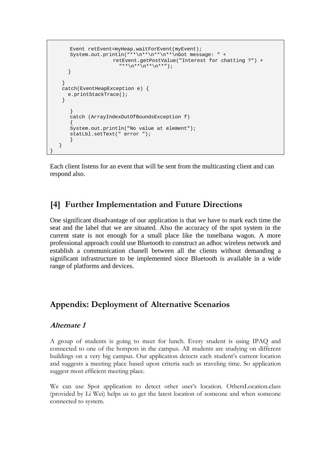```
 Event retEvent=myHeap.waitForEvent(myEvent); 
      System.out.println("**\n**\n**\n**\nGot message: " +
                      retEvent.getPostValue("Interest for chatting ?") + 
                        "**\n**\n**\n**");
 } 
    } 
    catch(EventHeapException e) { 
      e.printStackTrace(); 
    } 
       } 
       catch (ArrayIndexOutOfBoundsException f) 
\{ System.out.println("No value at element"); 
       statLbl.setText(" error "); 
 } 
    } 
}
```
Each client listens for an event that will be sent from the multicasting client and can respond also.

## **[4] Further Implementation and Future Directions**

One significant disadvantage of our application is that we have to mark each time the seat and the label that we are situated. Also the accuracy of the spot system in the current state is not enough for a small place like the tunelbana wagon. A more professional approach could use Bluetooth to construct an adhoc wireless network and establish a communication chanell between all the clients without demanding a significant infrastructure to be implemented since Bluetooth is available in a wide range of platforms and devices.

## **Appendix: Deployment of Alternative Scenarios**

#### **Alternate 1**

A group of students is going to meet for lunch. Every student is using IPAQ and connected to one of the hotspots in the campus. All students are studying on different buildings on a very big campus. Our application detects each student's current location and suggests a meeting place based upon criteria such as traveling time. So application suggest most efficient meeting place.

We can use Spot application to detect other user's location. OthersLocation.class (provided by Li Wei) helps us to get the latest location of someone and when someone connected to system.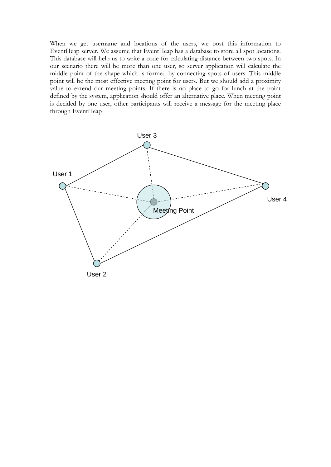When we get username and locations of the users, we post this information to EventHeap server. We assume that EventHeap has a database to store all spot locations. This database will help us to write a code for calculating distance between two spots. In our scenario there will be more than one user, so server application will calculate the middle point of the shape which is formed by connecting spots of users. This middle point will be the most effective meeting point for users. But we should add a proximity value to extend our meeting points. If there is no place to go for lunch at the point defined by the system, application should offer an alternative place. When meeting point is decided by one user, other participants will receive a message for the meeting place through EventHeap